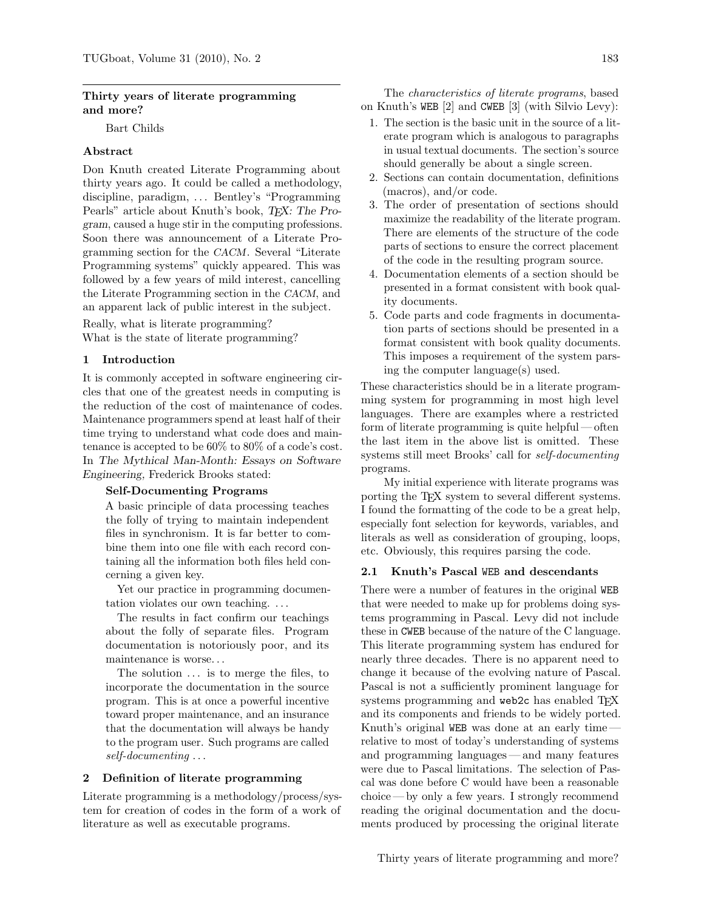# Thirty years of literate programming and more?

Bart Childs

# Abstract

Don Knuth created Literate Programming about thirty years ago. It could be called a methodology, discipline, paradigm, ... Bentley's "Programming" Pearls" article about Knuth's book, T<sub>F</sub>X: The Program, caused a huge stir in the computing professions. Soon there was announcement of a Literate Programming section for the CACM. Several "Literate Programming systems" quickly appeared. This was followed by a few years of mild interest, cancelling the Literate Programming section in the CACM, and an apparent lack of public interest in the subject.

Really, what is literate programming? What is the state of literate programming?

# 1 Introduction

It is commonly accepted in software engineering circles that one of the greatest needs in computing is the reduction of the cost of maintenance of codes. Maintenance programmers spend at least half of their time trying to understand what code does and maintenance is accepted to be 60% to 80% of a code's cost. In The Mythical Man-Month: Essays on Software Engineering, Frederick Brooks stated:

## Self-Documenting Programs

A basic principle of data processing teaches the folly of trying to maintain independent files in synchronism. It is far better to combine them into one file with each record containing all the information both files held concerning a given key.

Yet our practice in programming documentation violates our own teaching. . . .

The results in fact confirm our teachings about the folly of separate files. Program documentation is notoriously poor, and its maintenance is worse. . .

The solution  $\dots$  is to merge the files, to incorporate the documentation in the source program. This is at once a powerful incentive toward proper maintenance, and an insurance that the documentation will always be handy to the program user. Such programs are called self-documenting . . .

## 2 Definition of literate programming

Literate programming is a methodology/process/system for creation of codes in the form of a work of literature as well as executable programs.

The characteristics of literate programs, based on Knuth's WEB [\[2\]](#page-5-0) and CWEB [\[3\]](#page-5-1) (with Silvio Levy):

- 1. The section is the basic unit in the source of a literate program which is analogous to paragraphs in usual textual documents. The section's source should generally be about a single screen.
- 2. Sections can contain documentation, definitions (macros), and/or code.
- 3. The order of presentation of sections should maximize the readability of the literate program. There are elements of the structure of the code parts of sections to ensure the correct placement of the code in the resulting program source.
- 4. Documentation elements of a section should be presented in a format consistent with book quality documents.
- <span id="page-0-0"></span>5. Code parts and code fragments in documentation parts of sections should be presented in a format consistent with book quality documents. This imposes a requirement of the system parsing the computer language(s) used.

These characteristics should be in a literate programming system for programming in most high level languages. There are examples where a restricted form of literate programming is quite helpful — often the last item in the above list is omitted. These systems still meet Brooks' call for self-documenting programs.

My initial experience with literate programs was porting the T<sub>EX</sub> system to several different systems. I found the formatting of the code to be a great help, especially font selection for keywords, variables, and literals as well as consideration of grouping, loops, etc. Obviously, this requires parsing the code.

### 2.1 Knuth's Pascal WEB and descendants

There were a number of features in the original WEB that were needed to make up for problems doing systems programming in Pascal. Levy did not include these in CWEB because of the nature of the C language. This literate programming system has endured for nearly three decades. There is no apparent need to change it because of the evolving nature of Pascal. Pascal is not a sufficiently prominent language for systems programming and web2c has enabled T<sub>EX</sub> and its components and friends to be widely ported. Knuth's original WEB was done at an early time relative to most of today's understanding of systems and programming languages— and many features were due to Pascal limitations. The selection of Pascal was done before C would have been a reasonable choice — by only a few years. I strongly recommend reading the original documentation and the documents produced by processing the original literate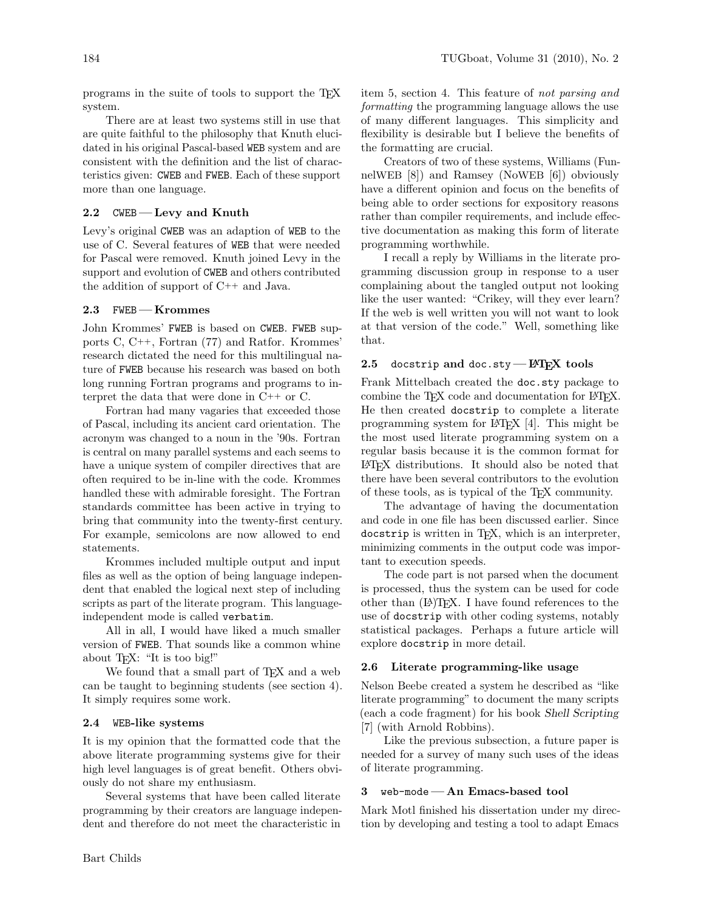programs in the suite of tools to support the TEX system.

There are at least two systems still in use that are quite faithful to the philosophy that Knuth elucidated in his original Pascal-based WEB system and are consistent with the definition and the list of characteristics given: CWEB and FWEB. Each of these support more than one language.

# 2.2  $CWEB$  — Levy and Knuth

Levy's original CWEB was an adaption of WEB to the use of C. Several features of WEB that were needed for Pascal were removed. Knuth joined Levy in the support and evolution of CWEB and others contributed the addition of support of C++ and Java.

## 2.3 FWEB - Krommes

John Krommes' FWEB is based on CWEB. FWEB supports C, C++, Fortran (77) and Ratfor. Krommes' research dictated the need for this multilingual nature of FWEB because his research was based on both long running Fortran programs and programs to interpret the data that were done in C++ or C.

Fortran had many vagaries that exceeded those of Pascal, including its ancient card orientation. The acronym was changed to a noun in the '90s. Fortran is central on many parallel systems and each seems to have a unique system of compiler directives that are often required to be in-line with the code. Krommes handled these with admirable foresight. The Fortran standards committee has been active in trying to bring that community into the twenty-first century. For example, semicolons are now allowed to end statements.

Krommes included multiple output and input files as well as the option of being language independent that enabled the logical next step of including scripts as part of the literate program. This languageindependent mode is called verbatim.

All in all, I would have liked a much smaller version of FWEB. That sounds like a common whine about TEX: "It is too big!"

We found that a small part of T<sub>E</sub>X and a web can be taught to beginning students (see section 4). It simply requires some work.

#### 2.4 WEB-like systems

It is my opinion that the formatted code that the above literate programming systems give for their high level languages is of great benefit. Others obviously do not share my enthusiasm.

Several systems that have been called literate programming by their creators are language independent and therefore do not meet the characteristic in

item [5,](#page-0-0) section [4.](#page-2-0) This feature of not parsing and formatting the programming language allows the use of many different languages. This simplicity and flexibility is desirable but I believe the benefits of the formatting are crucial.

Creators of two of these systems, Williams (FunnelWEB [\[8\]](#page-5-2)) and Ramsey (NoWEB [\[6\]](#page-5-3)) obviously have a different opinion and focus on the benefits of being able to order sections for expository reasons rather than compiler requirements, and include effective documentation as making this form of literate programming worthwhile.

I recall a reply by Williams in the literate programming discussion group in response to a user complaining about the tangled output not looking like the user wanted: "Crikey, will they ever learn? If the web is well written you will not want to look at that version of the code." Well, something like that.

# 2.5 docstrip and doc.sty - LAT<sub>EX</sub> tools

Frank Mittelbach created the doc.sty package to combine the T<sub>F</sub>X code and documentation for LAT<sub>F</sub>X. He then created docstrip to complete a literate programming system for LATEX [\[4\]](#page-5-4). This might be the most used literate programming system on a regular basis because it is the common format for LATEX distributions. It should also be noted that there have been several contributors to the evolution of these tools, as is typical of the TEX community.

The advantage of having the documentation and code in one file has been discussed earlier. Since docstrip is written in TEX, which is an interpreter, minimizing comments in the output code was important to execution speeds.

The code part is not parsed when the document is processed, thus the system can be used for code other than  $(A)$ T<sub>F</sub>X. I have found references to the use of docstrip with other coding systems, notably statistical packages. Perhaps a future article will explore docstrip in more detail.

#### 2.6 Literate programming-like usage

Nelson Beebe created a system he described as "like literate programming" to document the many scripts (each a code fragment) for his book Shell Scripting [\[7\]](#page-5-5) (with Arnold Robbins).

Like the previous subsection, a future paper is needed for a survey of many such uses of the ideas of literate programming.

#### 3 web-mode— An Emacs-based tool

Mark Motl finished his dissertation under my direction by developing and testing a tool to adapt Emacs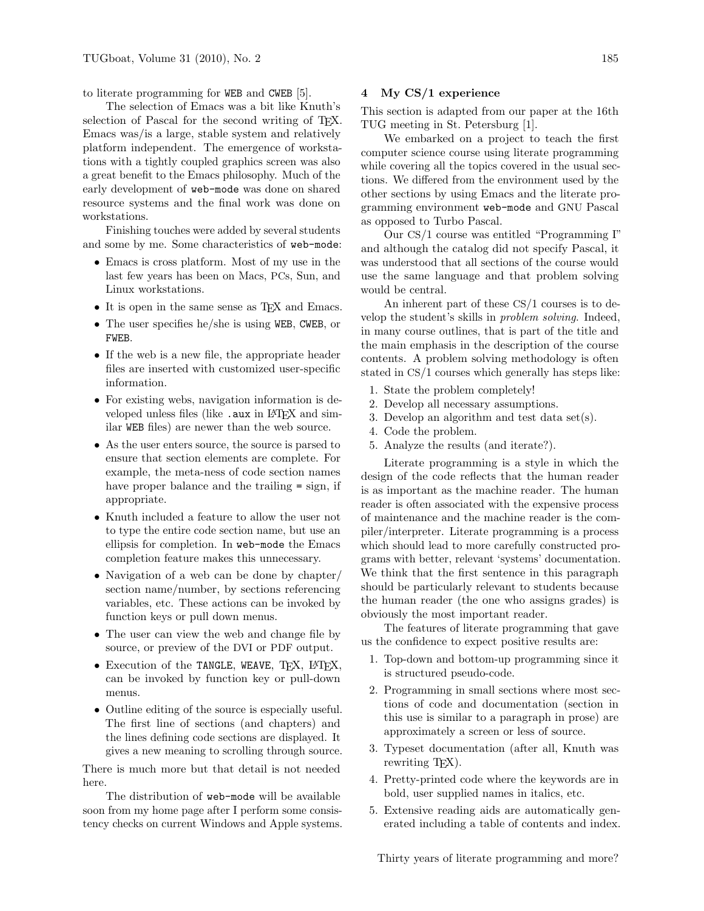to literate programming for WEB and CWEB [\[5\]](#page-5-6).

The selection of Emacs was a bit like Knuth's selection of Pascal for the second writing of TEX. Emacs was/is a large, stable system and relatively platform independent. The emergence of workstations with a tightly coupled graphics screen was also a great benefit to the Emacs philosophy. Much of the early development of web-mode was done on shared resource systems and the final work was done on workstations.

Finishing touches were added by several students and some by me. Some characteristics of web-mode:

- Emacs is cross platform. Most of my use in the last few years has been on Macs, PCs, Sun, and Linux workstations.
- It is open in the same sense as TFX and Emacs.
- The user specifies he/she is using WEB, CWEB, or FWEB.
- If the web is a new file, the appropriate header files are inserted with customized user-specific information.
- For existing webs, navigation information is developed unless files (like .aux in LATFX and similar WEB files) are newer than the web source.
- As the user enters source, the source is parsed to ensure that section elements are complete. For example, the meta-ness of code section names have proper balance and the trailing = sign, if appropriate.
- Knuth included a feature to allow the user not to type the entire code section name, but use an ellipsis for completion. In web-mode the Emacs completion feature makes this unnecessary.
- Navigation of a web can be done by chapter/ section name/number, by sections referencing variables, etc. These actions can be invoked by function keys or pull down menus.
- The user can view the web and change file by source, or preview of the DVI or PDF output.
- Execution of the TANGLE, WEAVE, TFX, L<sup>AT</sup>FX, can be invoked by function key or pull-down menus.
- Outline editing of the source is especially useful. The first line of sections (and chapters) and the lines defining code sections are displayed. It gives a new meaning to scrolling through source.

There is much more but that detail is not needed here.

The distribution of web-mode will be available soon from my home page after I perform some consistency checks on current Windows and Apple systems.

#### <span id="page-2-0"></span>4 My CS/1 experience

This section is adapted from our paper at the 16th TUG meeting in St. Petersburg [\[1\]](#page-5-7).

We embarked on a project to teach the first computer science course using literate programming while covering all the topics covered in the usual sections. We differed from the environment used by the other sections by using Emacs and the literate programming environment web-mode and GNU Pascal as opposed to Turbo Pascal.

Our CS/1 course was entitled "Programming I" and although the catalog did not specify Pascal, it was understood that all sections of the course would use the same language and that problem solving would be central.

An inherent part of these CS/1 courses is to develop the student's skills in problem solving. Indeed, in many course outlines, that is part of the title and the main emphasis in the description of the course contents. A problem solving methodology is often stated in CS/1 courses which generally has steps like:

- 1. State the problem completely!
- 2. Develop all necessary assumptions.
- 3. Develop an algorithm and test data set(s).
- 4. Code the problem.
- 5. Analyze the results (and iterate?).

Literate programming is a style in which the design of the code reflects that the human reader is as important as the machine reader. The human reader is often associated with the expensive process of maintenance and the machine reader is the compiler/interpreter. Literate programming is a process which should lead to more carefully constructed programs with better, relevant 'systems' documentation. We think that the first sentence in this paragraph should be particularly relevant to students because the human reader (the one who assigns grades) is obviously the most important reader.

The features of literate programming that gave us the confidence to expect positive results are:

- 1. Top-down and bottom-up programming since it is structured pseudo-code.
- 2. Programming in small sections where most sections of code and documentation (section in this use is similar to a paragraph in prose) are approximately a screen or less of source.
- 3. Typeset documentation (after all, Knuth was rewriting T<sub>FX</sub>).
- 4. Pretty-printed code where the keywords are in bold, user supplied names in italics, etc.
- 5. Extensive reading aids are automatically generated including a table of contents and index.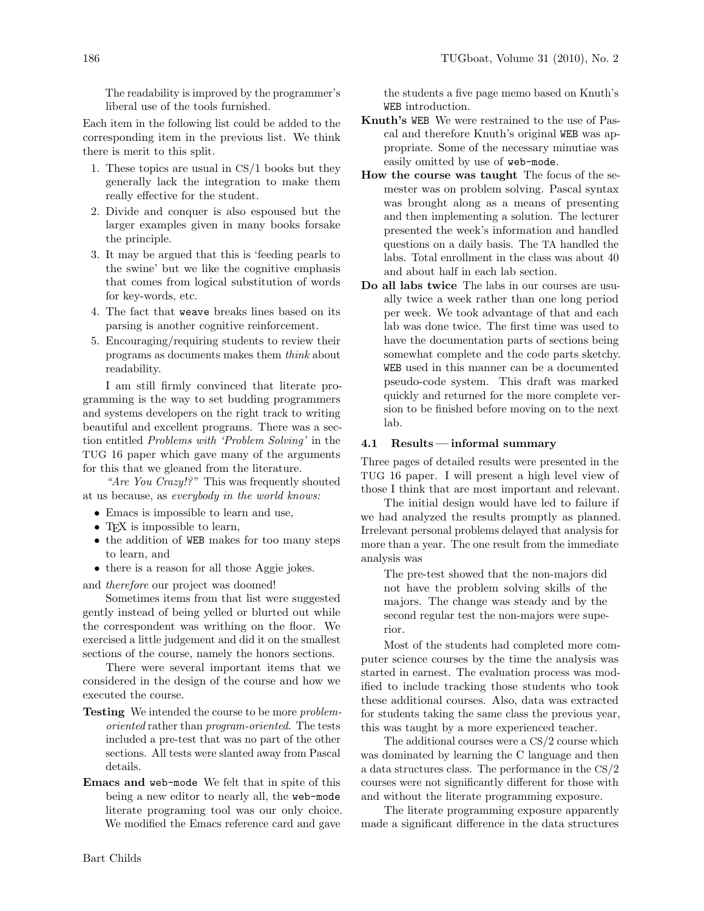The readability is improved by the programmer's liberal use of the tools furnished.

Each item in the following list could be added to the corresponding item in the previous list. We think there is merit to this split.

- 1. These topics are usual in CS/1 books but they generally lack the integration to make them really effective for the student.
- 2. Divide and conquer is also espoused but the larger examples given in many books forsake the principle.
- 3. It may be argued that this is 'feeding pearls to the swine' but we like the cognitive emphasis that comes from logical substitution of words for key-words, etc.
- 4. The fact that weave breaks lines based on its parsing is another cognitive reinforcement.
- 5. Encouraging/requiring students to review their programs as documents makes them think about readability.

I am still firmly convinced that literate programming is the way to set budding programmers and systems developers on the right track to writing beautiful and excellent programs. There was a section entitled Problems with 'Problem Solving' in the TUG 16 paper which gave many of the arguments for this that we gleaned from the literature.

"Are You Crazy!?" This was frequently shouted at us because, as everybody in the world knows:

- Emacs is impossible to learn and use,
- T<sub>F</sub>X is impossible to learn,
- the addition of WEB makes for too many steps to learn, and
- there is a reason for all those Aggie jokes.

and therefore our project was doomed!

Sometimes items from that list were suggested gently instead of being yelled or blurted out while the correspondent was writhing on the floor. We exercised a little judgement and did it on the smallest sections of the course, namely the honors sections.

There were several important items that we considered in the design of the course and how we executed the course.

- **Testing** We intended the course to be more *problem*oriented rather than program-oriented. The tests included a pre-test that was no part of the other sections. All tests were slanted away from Pascal details.
- Emacs and web-mode We felt that in spite of this being a new editor to nearly all, the web-mode literate programing tool was our only choice. We modified the Emacs reference card and gave

the students a five page memo based on Knuth's WEB introduction.

- Knuth's WEB We were restrained to the use of Pascal and therefore Knuth's original WEB was appropriate. Some of the necessary minutiae was easily omitted by use of web-mode.
- How the course was taught The focus of the semester was on problem solving. Pascal syntax was brought along as a means of presenting and then implementing a solution. The lecturer presented the week's information and handled questions on a daily basis. The TA handled the labs. Total enrollment in the class was about 40 and about half in each lab section.
- Do all labs twice The labs in our courses are usually twice a week rather than one long period per week. We took advantage of that and each lab was done twice. The first time was used to have the documentation parts of sections being somewhat complete and the code parts sketchy. WEB used in this manner can be a documented pseudo-code system. This draft was marked quickly and returned for the more complete version to be finished before moving on to the next lab.

## 4.1 Results — informal summary

Three pages of detailed results were presented in the TUG 16 paper. I will present a high level view of those I think that are most important and relevant.

The initial design would have led to failure if we had analyzed the results promptly as planned. Irrelevant personal problems delayed that analysis for more than a year. The one result from the immediate analysis was

The pre-test showed that the non-majors did not have the problem solving skills of the majors. The change was steady and by the second regular test the non-majors were superior.

Most of the students had completed more computer science courses by the time the analysis was started in earnest. The evaluation process was modified to include tracking those students who took these additional courses. Also, data was extracted for students taking the same class the previous year, this was taught by a more experienced teacher.

The additional courses were a CS/2 course which was dominated by learning the C language and then a data structures class. The performance in the CS/2 courses were not significantly different for those with and without the literate programming exposure.

The literate programming exposure apparently made a significant difference in the data structures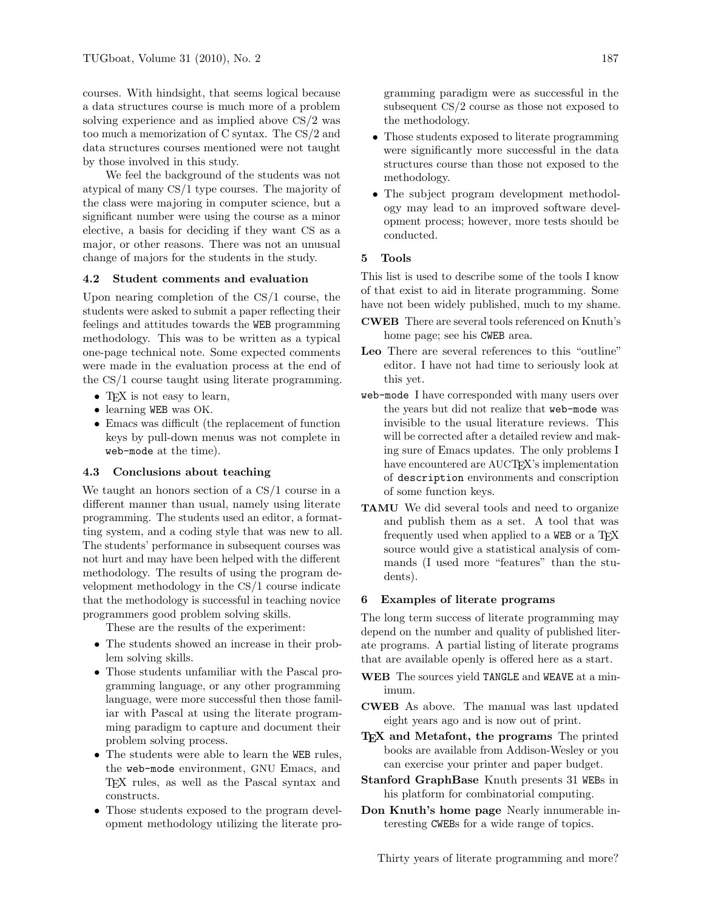courses. With hindsight, that seems logical because a data structures course is much more of a problem solving experience and as implied above CS/2 was too much a memorization of C syntax. The CS/2 and data structures courses mentioned were not taught by those involved in this study.

We feel the background of the students was not atypical of many CS/1 type courses. The majority of the class were majoring in computer science, but a significant number were using the course as a minor elective, a basis for deciding if they want CS as a major, or other reasons. There was not an unusual change of majors for the students in the study.

### 4.2 Student comments and evaluation

Upon nearing completion of the CS/1 course, the students were asked to submit a paper reflecting their feelings and attitudes towards the WEB programming methodology. This was to be written as a typical one-page technical note. Some expected comments were made in the evaluation process at the end of the CS/1 course taught using literate programming.

- TEX is not easy to learn,
- learning WEB was OK.
- Emacs was difficult (the replacement of function keys by pull-down menus was not complete in web-mode at the time).

# 4.3 Conclusions about teaching

We taught an honors section of a CS/1 course in a different manner than usual, namely using literate programming. The students used an editor, a formatting system, and a coding style that was new to all. The students' performance in subsequent courses was not hurt and may have been helped with the different methodology. The results of using the program development methodology in the CS/1 course indicate that the methodology is successful in teaching novice programmers good problem solving skills.

These are the results of the experiment:

- The students showed an increase in their problem solving skills.
- Those students unfamiliar with the Pascal programming language, or any other programming language, were more successful then those familiar with Pascal at using the literate programming paradigm to capture and document their problem solving process.
- The students were able to learn the WEB rules, the web-mode environment, GNU Emacs, and TEX rules, as well as the Pascal syntax and constructs.
- Those students exposed to the program development methodology utilizing the literate pro-

gramming paradigm were as successful in the subsequent CS/2 course as those not exposed to the methodology.

- Those students exposed to literate programming were significantly more successful in the data structures course than those not exposed to the methodology.
- The subject program development methodology may lead to an improved software development process; however, more tests should be conducted.

# 5 Tools

This list is used to describe some of the tools I know of that exist to aid in literate programming. Some have not been widely published, much to my shame.

- CWEB There are several tools referenced on Knuth's home page; see his CWEB area.
- Leo There are several references to this "outline" editor. I have not had time to seriously look at this yet.
- web-mode I have corresponded with many users over the years but did not realize that web-mode was invisible to the usual literature reviews. This will be corrected after a detailed review and making sure of Emacs updates. The only problems I have encountered are AUCT<sub>EX</sub>'s implementation of description environments and conscription of some function keys.
- TAMU We did several tools and need to organize and publish them as a set. A tool that was frequently used when applied to a WEB or a TEX source would give a statistical analysis of commands (I used more "features" than the students).

### 6 Examples of literate programs

The long term success of literate programming may depend on the number and quality of published literate programs. A partial listing of literate programs that are available openly is offered here as a start.

- WEB The sources yield TANGLE and WEAVE at a minimum.
- CWEB As above. The manual was last updated eight years ago and is now out of print.
- T<sub>F</sub>X and Metafont, the programs The printed books are available from Addison-Wesley or you can exercise your printer and paper budget.
- Stanford GraphBase Knuth presents 31 WEBs in his platform for combinatorial computing.
- Don Knuth's home page Nearly innumerable interesting CWEBs for a wide range of topics.